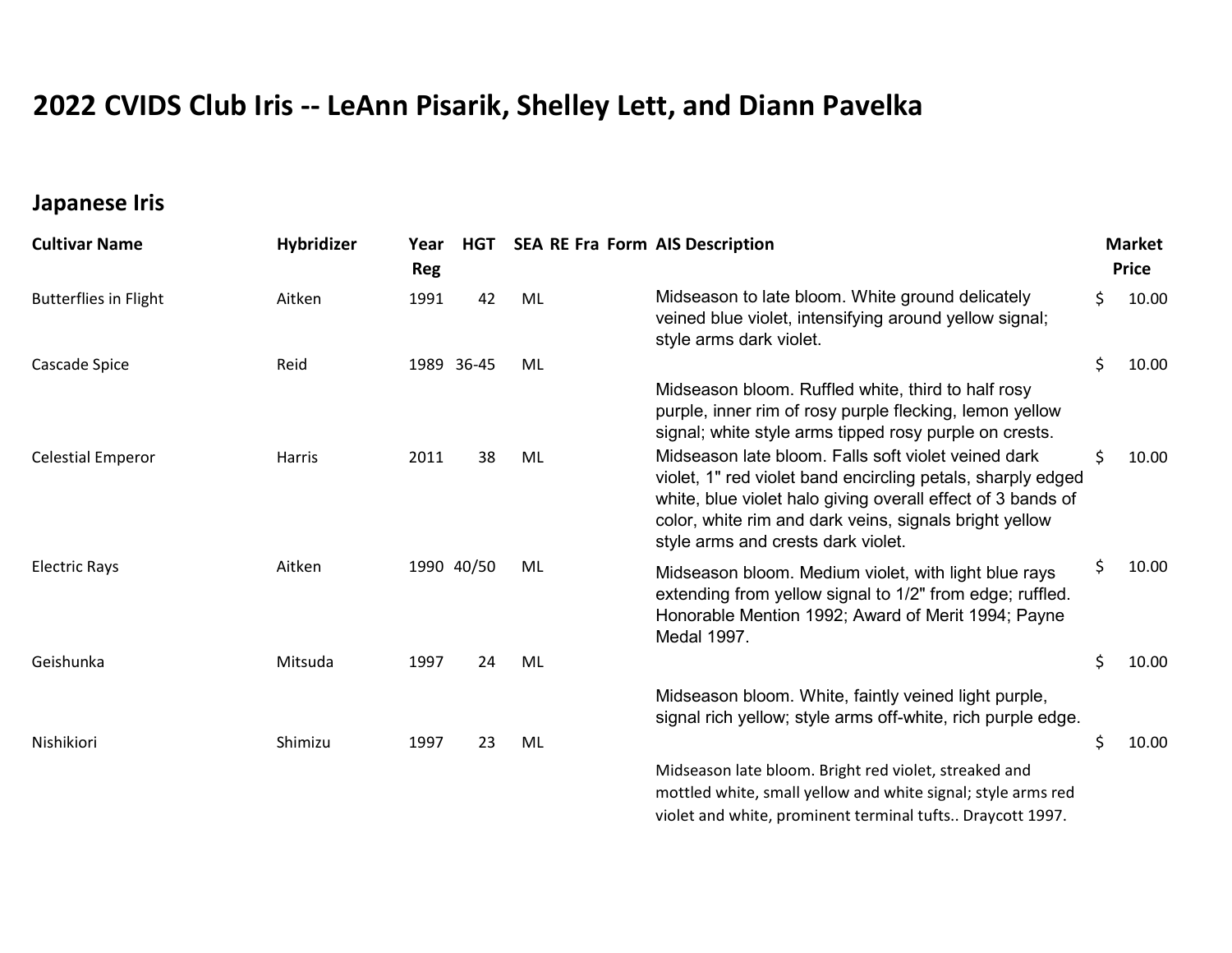## 2022 CVIDS Club Iris -- LeAnn Pisarik, Shelley Lett, and Diann Pavelka

## Japanese Iris

| <b>Cultivar Name</b>         | Hybridizer | Year<br><b>Reg</b> | HGT        | <b>SEA RE Fra Form AIS Description</b> |                                                                                                                                                                                                                                |    | <b>Market</b><br><b>Price</b> |  |
|------------------------------|------------|--------------------|------------|----------------------------------------|--------------------------------------------------------------------------------------------------------------------------------------------------------------------------------------------------------------------------------|----|-------------------------------|--|
| <b>Butterflies in Flight</b> | Aitken     | 1991               | 42         | ML                                     | Midseason to late bloom. White ground delicately<br>veined blue violet, intensifying around yellow signal;<br>style arms dark violet.                                                                                          | \$ | 10.00                         |  |
| Cascade Spice                | Reid       |                    | 1989 36-45 | ML                                     |                                                                                                                                                                                                                                | \$ | 10.00                         |  |
| <b>Celestial Emperor</b>     | Harris     | 2011               | 38         | ML                                     | Midseason bloom. Ruffled white, third to half rosy<br>purple, inner rim of rosy purple flecking, lemon yellow<br>signal; white style arms tipped rosy purple on crests.<br>Midseason late bloom. Falls soft violet veined dark | \$ | 10.00                         |  |
|                              |            |                    |            |                                        | violet, 1" red violet band encircling petals, sharply edged<br>white, blue violet halo giving overall effect of 3 bands of<br>color, white rim and dark veins, signals bright yellow<br>style arms and crests dark violet.     |    |                               |  |
| <b>Electric Rays</b>         | Aitken     |                    | 1990 40/50 | ML                                     | Midseason bloom. Medium violet, with light blue rays<br>extending from yellow signal to 1/2" from edge; ruffled.<br>Honorable Mention 1992; Award of Merit 1994; Payne<br>Medal 1997.                                          | Ś  | 10.00                         |  |
| Geishunka                    | Mitsuda    | 1997               | 24         | ML                                     |                                                                                                                                                                                                                                | \$ | 10.00                         |  |
|                              |            |                    |            |                                        | Midseason bloom. White, faintly veined light purple,<br>signal rich yellow; style arms off-white, rich purple edge.                                                                                                            |    |                               |  |
| Nishikiori                   | Shimizu    | 1997               | 23         | ML                                     |                                                                                                                                                                                                                                | \$ | 10.00                         |  |
|                              |            |                    |            |                                        | Midseason late bloom. Bright red violet, streaked and<br>mottled white, small yellow and white signal; style arms red<br>violet and white, prominent terminal tufts Draycott 1997.                                             |    |                               |  |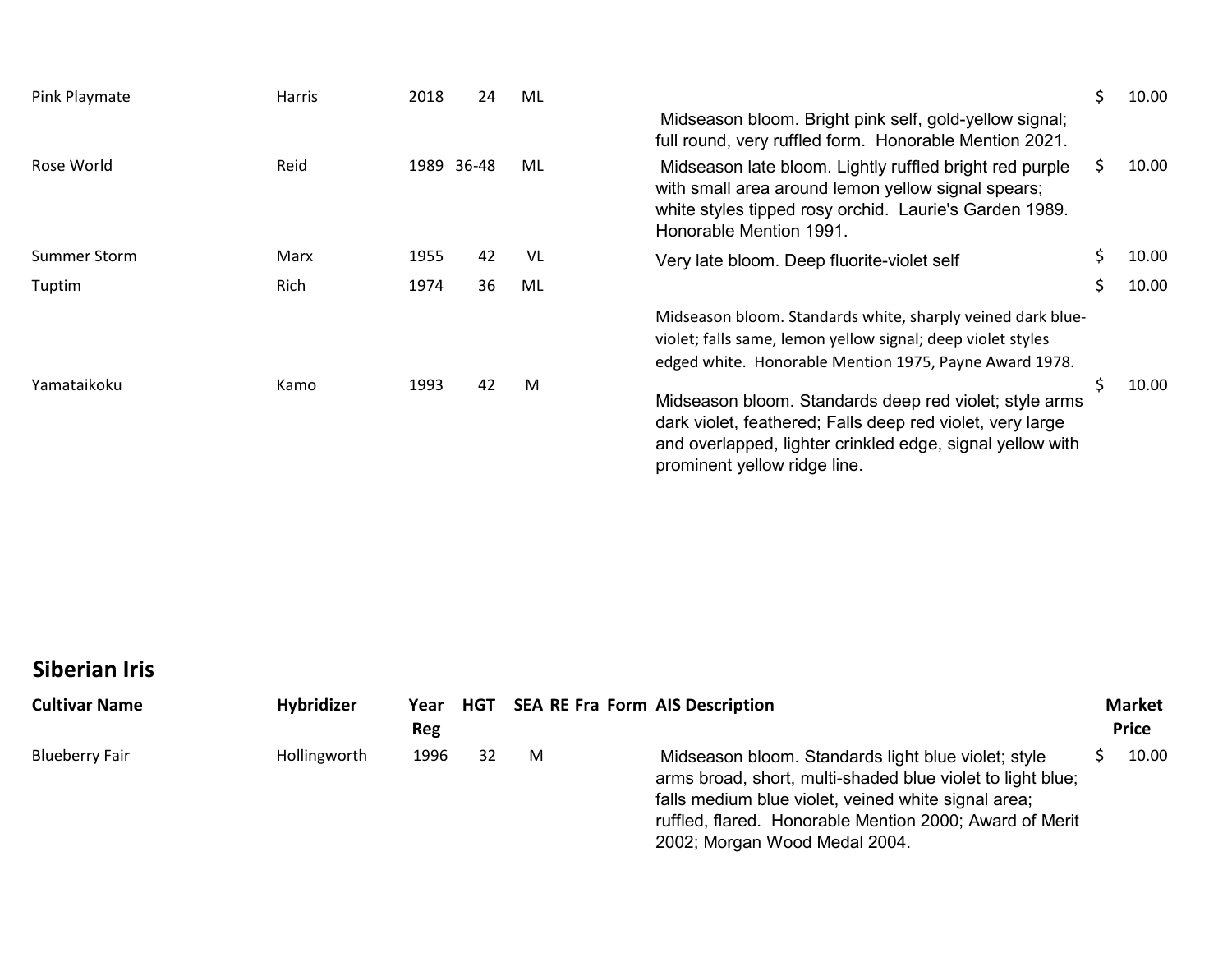| Pink Playmate       | Harris | 2018 |       | 24 | ML |                                                                                                                                                                                                                  | \$  | 10.00 |
|---------------------|--------|------|-------|----|----|------------------------------------------------------------------------------------------------------------------------------------------------------------------------------------------------------------------|-----|-------|
|                     |        |      |       |    |    | Midseason bloom. Bright pink self, gold-yellow signal;<br>full round, very ruffled form. Honorable Mention 2021.                                                                                                 |     |       |
| Rose World          | Reid   | 1989 | 36-48 |    | ML | Midseason late bloom. Lightly ruffled bright red purple<br>with small area around lemon yellow signal spears;<br>white styles tipped rosy orchid. Laurie's Garden 1989.<br>Honorable Mention 1991.               | \$. | 10.00 |
| <b>Summer Storm</b> | Marx   | 1955 |       | 42 | VL | Very late bloom. Deep fluorite-violet self                                                                                                                                                                       | \$  | 10.00 |
| Tuptim              | Rich   | 1974 |       | 36 | ML |                                                                                                                                                                                                                  | \$  | 10.00 |
|                     |        |      |       |    |    | Midseason bloom. Standards white, sharply veined dark blue-<br>violet; falls same, lemon yellow signal; deep violet styles<br>edged white. Honorable Mention 1975, Payne Award 1978.                             |     |       |
| Yamataikoku         | Kamo   | 1993 |       | 42 | M  | Midseason bloom. Standards deep red violet; style arms<br>dark violet, feathered; Falls deep red violet, very large<br>and overlapped, lighter crinkled edge, signal yellow with<br>prominent yellow ridge line. | \$  | 10.00 |
|                     |        |      |       |    |    |                                                                                                                                                                                                                  |     |       |
|                     |        |      |       |    |    |                                                                                                                                                                                                                  |     |       |

## Siberian Iris

| <b>Cultivar Name</b>  | <b>Hybridizer</b> | Reg  |    | Year HGT SEA RE Fra Form AIS Description |                                                                                                                                                                                                                                                                      | <b>Market</b><br><b>Price</b> |       |
|-----------------------|-------------------|------|----|------------------------------------------|----------------------------------------------------------------------------------------------------------------------------------------------------------------------------------------------------------------------------------------------------------------------|-------------------------------|-------|
| <b>Blueberry Fair</b> | Hollingworth      | 1996 | 32 | M                                        | Midseason bloom. Standards light blue violet; style<br>arms broad, short, multi-shaded blue violet to light blue;<br>falls medium blue violet, veined white signal area;<br>ruffled, flared. Honorable Mention 2000; Award of Merit<br>2002; Morgan Wood Medal 2004. |                               | 10.00 |